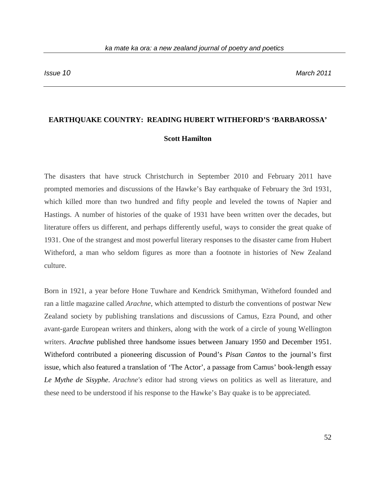## **EARTHQUAKE COUNTRY: READING HUBERT WITHEFORD'S 'BARBAROSSA'**

## **Scott Hamilton**

The disasters that have struck Christchurch in September 2010 and February 2011 have prompted memories and discussions of the Hawke's Bay earthquake of February the 3rd 1931, which killed more than two hundred and fifty people and leveled the towns of Napier and Hastings. A number of histories of the quake of 1931 have been written over the decades, but literature offers us different, and perhaps differently useful, ways to consider the great quake of 1931. One of the strangest and most powerful literary responses to the disaster came from Hubert Witheford, a man who seldom figures as more than a footnote in histories of New Zealand culture.

Born in 1921, a year before Hone Tuwhare and Kendrick Smithyman, Witheford founded and ran a little magazine called *Arachne*, which attempted to disturb the conventions of postwar New Zealand society by publishing translations and discussions of Camus, Ezra Pound, and other avant-garde European writers and thinkers, along with the work of a circle of young Wellington writers. *Arachne* published three handsome issues between January 1950 and December 1951. Witheford contributed a pioneering discussion of Pound's *Pisan Cantos* to the journal's first issue, which also featured a translation of 'The Actor', a passage from Camus' book-length essay *Le Mythe de Sisyphe*. *Arachne's* editor had strong views on politics as well as literature, and these need to be understood if his response to the Hawke's Bay quake is to be appreciated.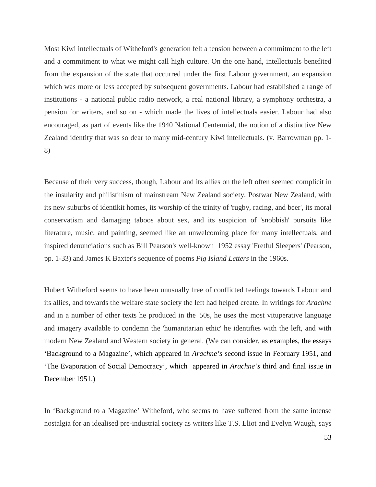Most Kiwi intellectuals of Witheford's generation felt a tension between a commitment to the left and a commitment to what we might call high culture. On the one hand, intellectuals benefited from the expansion of the state that occurred under the first Labour government, an expansion which was more or less accepted by subsequent governments. Labour had established a range of institutions - a national public radio network, a real national library, a symphony orchestra, a pension for writers, and so on - which made the lives of intellectuals easier. Labour had also encouraged, as part of events like the 1940 National Centennial, the notion of a distinctive New Zealand identity that was so dear to many mid-century Kiwi intellectuals. (v. Barrowman pp. 1- 8)

Because of their very success, though, Labour and its allies on the left often seemed complicit in the insularity and philistinism of mainstream New Zealand society. Postwar New Zealand, with its new suburbs of identikit homes, its worship of the trinity of 'rugby, racing, and beer', its moral conservatism and damaging taboos about sex, and its suspicion of 'snobbish' pursuits like literature, music, and painting, seemed like an unwelcoming place for many intellectuals, and inspired denunciations such as Bill Pearson's well-known 1952 essay 'Fretful Sleepers' (Pearson, pp. 1-33) and James K Baxter's sequence of poems *Pig Island Letters* in the 1960s.

Hubert Witheford seems to have been unusually free of conflicted feelings towards Labour and its allies, and towards the welfare state society the left had helped create. In writings for *Arachne* and in a number of other texts he produced in the '50s, he uses the most vituperative language and imagery available to condemn the 'humanitarian ethic' he identifies with the left, and with modern New Zealand and Western society in general. (We can consider, as examples, the essays 'Background to a Magazine', which appeared in *Arachne's* second issue in February 1951, and 'The Evaporation of Social Democracy', which appeared in *Arachne's* third and final issue in December 1951.)

In 'Background to a Magazine' Witheford, who seems to have suffered from the same intense nostalgia for an idealised pre-industrial society as writers like T.S. Eliot and Evelyn Waugh, says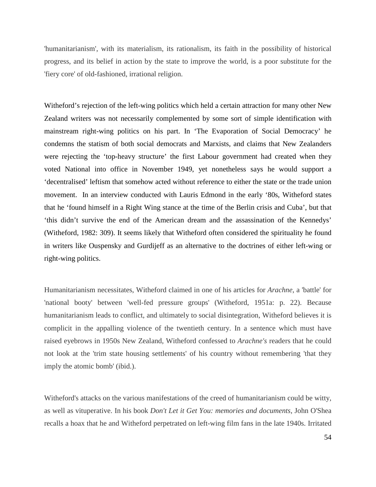'humanitarianism', with its materialism, its rationalism, its faith in the possibility of historical progress, and its belief in action by the state to improve the world, is a poor substitute for the 'fiery core' of old-fashioned, irrational religion.

Witheford's rejection of the left-wing politics which held a certain attraction for many other New Zealand writers was not necessarily complemented by some sort of simple identification with mainstream right-wing politics on his part. In 'The Evaporation of Social Democracy' he condemns the statism of both social democrats and Marxists, and claims that New Zealanders were rejecting the 'top-heavy structure' the first Labour government had created when they voted National into office in November 1949, yet nonetheless says he would support a 'decentralised' leftism that somehow acted without reference to either the state or the trade union movement. In an interview conducted with Lauris Edmond in the early '80s, Witheford states that he 'found himself in a Right Wing stance at the time of the Berlin crisis and Cuba', but that 'this didn't survive the end of the American dream and the assassination of the Kennedys' (Witheford, 1982: 309). It seems likely that Witheford often considered the spirituality he found in writers like Ouspensky and Gurdijeff as an alternative to the doctrines of either left-wing or right-wing politics.

Humanitarianism necessitates, Witheford claimed in one of his articles for *Arachne*, a 'battle' for 'national booty' between 'well-fed pressure groups' (Witheford, 1951a: p. 22). Because humanitarianism leads to conflict, and ultimately to social disintegration, Witheford believes it is complicit in the appalling violence of the twentieth century. In a sentence which must have raised eyebrows in 1950s New Zealand, Witheford confessed to *Arachne's* readers that he could not look at the 'trim state housing settlements' of his country without remembering 'that they imply the atomic bomb' (ibid.).

Witheford's attacks on the various manifestations of the creed of humanitarianism could be witty, as well as vituperative. In his book *Don't Let it Get You: memories and documents*, John O'Shea recalls a hoax that he and Witheford perpetrated on left-wing film fans in the late 1940s. Irritated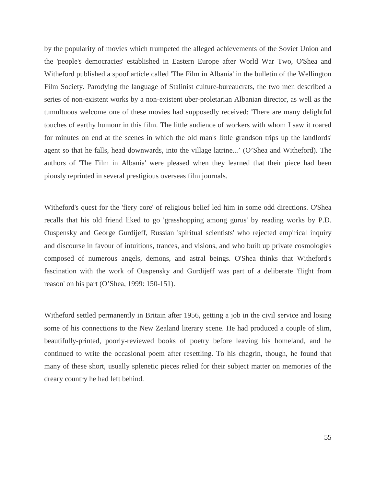by the popularity of movies which trumpeted the alleged achievements of the Soviet Union and the 'people's democracies' established in Eastern Europe after World War Two, O'Shea and Witheford published a spoof article called 'The Film in Albania' in the bulletin of the Wellington Film Society. Parodying the language of Stalinist culture-bureaucrats, the two men described a series of non-existent works by a non-existent uber-proletarian Albanian director, as well as the tumultuous welcome one of these movies had supposedly received: 'There are many delightful touches of earthy humour in this film. The little audience of workers with whom I saw it roared for minutes on end at the scenes in which the old man's little grandson trips up the landlords' agent so that he falls, head downwards, into the village latrine...' (O'Shea and Witheford). The authors of 'The Film in Albania' were pleased when they learned that their piece had been piously reprinted in several prestigious overseas film journals.

Witheford's quest for the 'fiery core' of religious belief led him in some odd directions. O'Shea recalls that his old friend liked to go 'grasshopping among gurus' by reading works by P.D. Ouspensky and George Gurdijeff, Russian 'spiritual scientists' who rejected empirical inquiry and discourse in favour of intuitions, trances, and visions, and who built up private cosmologies composed of numerous angels, demons, and astral beings. O'Shea thinks that Witheford's fascination with the work of Ouspensky and Gurdijeff was part of a deliberate 'flight from reason' on his part (O'Shea, 1999: 150-151).

Witheford settled permanently in Britain after 1956, getting a job in the civil service and losing some of his connections to the New Zealand literary scene. He had produced a couple of slim, beautifully-printed, poorly-reviewed books of poetry before leaving his homeland, and he continued to write the occasional poem after resettling. To his chagrin, though, he found that many of these short, usually splenetic pieces relied for their subject matter on memories of the dreary country he had left behind.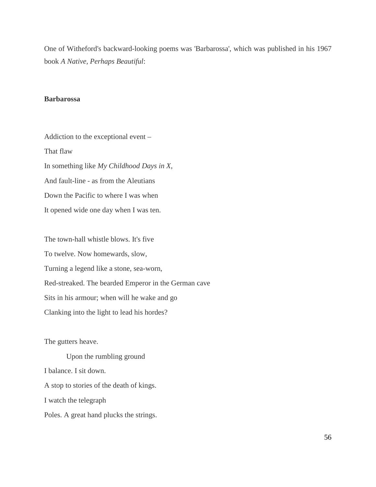One of Witheford's backward-looking poems was 'Barbarossa', which was published in his 1967 book *A Native, Perhaps Beautiful*:

## **Barbarossa**

Addiction to the exceptional event – That flaw In something like *My Childhood Days in X*, And fault-line - as from the Aleutians Down the Pacific to where I was when It opened wide one day when I was ten.

The town-hall whistle blows. It's five To twelve. Now homewards, slow, Turning a legend like a stone, sea-worn, Red-streaked. The bearded Emperor in the German cave Sits in his armour; when will he wake and go Clanking into the light to lead his hordes?

The gutters heave.

Upon the rumbling ground I balance. I sit down. A stop to stories of the death of kings. I watch the telegraph Poles. A great hand plucks the strings.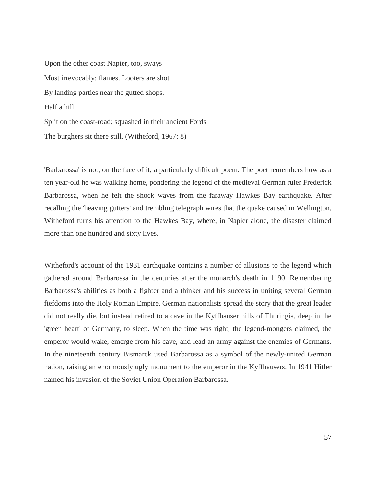Upon the other coast Napier, too, sways Most irrevocably: flames. Looters are shot By landing parties near the gutted shops. Half a hill Split on the coast-road; squashed in their ancient Fords The burghers sit there still*.* (Witheford, 1967: 8)

'Barbarossa' is not, on the face of it, a particularly difficult poem. The poet remembers how as a ten year-old he was walking home, pondering the legend of the medieval German ruler Frederick Barbarossa, when he felt the shock waves from the faraway Hawkes Bay earthquake. After recalling the 'heaving gutters' and trembling telegraph wires that the quake caused in Wellington, Witheford turns his attention to the Hawkes Bay, where, in Napier alone, the disaster claimed more than one hundred and sixty lives.

Witheford's account of the 1931 earthquake contains a number of allusions to the legend which gathered around Barbarossa in the centuries after the monarch's death in 1190. Remembering Barbarossa's abilities as both a fighter and a thinker and his success in uniting several German fiefdoms into the Holy Roman Empire, German nationalists spread the story that the great leader did not really die, but instead retired to a cave in the Kyffhauser hills of Thuringia, deep in the 'green heart' of Germany, to sleep. When the time was right, the legend-mongers claimed, the emperor would wake, emerge from his cave, and lead an army against the enemies of Germans. In the nineteenth century Bismarck used Barbarossa as a symbol of the newly-united German nation, raising an enormously ugly monument to the emperor in the Kyffhausers. In 1941 Hitler named his invasion of the Soviet Union Operation Barbarossa.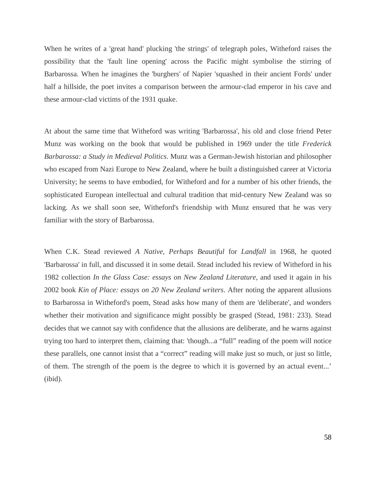When he writes of a 'great hand' plucking 'the strings' of telegraph poles, Witheford raises the possibility that the 'fault line opening' across the Pacific might symbolise the stirring of Barbarossa. When he imagines the 'burghers' of Napier 'squashed in their ancient Fords' under half a hillside, the poet invites a comparison between the armour-clad emperor in his cave and these armour-clad victims of the 1931 quake.

At about the same time that Witheford was writing 'Barbarossa', his old and close friend Peter Munz was working on the book that would be published in 1969 under the title *Frederick Barbarossa: a Study in Medieval Politics*. Munz was a German-Jewish historian and philosopher who escaped from Nazi Europe to New Zealand, where he built a distinguished career at Victoria University; he seems to have embodied, for Witheford and for a number of his other friends, the sophisticated European intellectual and cultural tradition that mid-century New Zealand was so lacking. As we shall soon see, Witheford's friendship with Munz ensured that he was very familiar with the story of Barbarossa.

When C.K. Stead reviewed *A Native, Perhaps Beautiful* for *Landfall* in 1968, he quoted 'Barbarossa' in full, and discussed it in some detail. Stead included his review of Witheford in his 1982 collection *In the Glass Case: essays on New Zealand Literature*, and used it again in his 2002 book *Kin of Place: essays on 20 New Zealand writers*. After noting the apparent allusions to Barbarossa in Witheford's poem, Stead asks how many of them are 'deliberate', and wonders whether their motivation and significance might possibly be grasped (Stead, 1981: 233). Stead decides that we cannot say with confidence that the allusions are deliberate, and he warns against trying too hard to interpret them, claiming that: 'though...a "full" reading of the poem will notice these parallels, one cannot insist that a "correct" reading will make just so much, or just so little, of them. The strength of the poem is the degree to which it is governed by an actual event...' (ibid).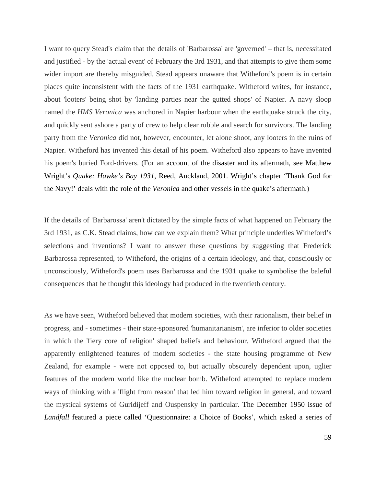I want to query Stead's claim that the details of 'Barbarossa' are 'governed' – that is, necessitated and justified - by the 'actual event' of February the 3rd 1931, and that attempts to give them some wider import are thereby misguided. Stead appears unaware that Witheford's poem is in certain places quite inconsistent with the facts of the 1931 earthquake. Witheford writes, for instance, about 'looters' being shot by 'landing parties near the gutted shops' of Napier. A navy sloop named the *HMS Veronica* was anchored in Napier harbour when the earthquake struck the city, and quickly sent ashore a party of crew to help clear rubble and search for survivors. The landing party from the *Veronica* did not, however, encounter, let alone shoot, any looters in the ruins of Napier. Witheford has invented this detail of his poem. Witheford also appears to have invented his poem's buried Ford-drivers. (For an account of the disaster and its aftermath, see Matthew Wright's *Quake: Hawke's Bay 1931*, Reed, Auckland, 2001. Wright's chapter 'Thank God for the Navy!' deals with the role of the *Veronica* and other vessels in the quake's aftermath.)

If the details of 'Barbarossa' aren't dictated by the simple facts of what happened on February the 3rd 1931, as C.K. Stead claims, how can we explain them? What principle underlies Witheford's selections and inventions? I want to answer these questions by suggesting that Frederick Barbarossa represented, to Witheford, the origins of a certain ideology, and that, consciously or unconsciously, Witheford's poem uses Barbarossa and the 1931 quake to symbolise the baleful consequences that he thought this ideology had produced in the twentieth century.

As we have seen, Witheford believed that modern societies, with their rationalism, their belief in progress, and - sometimes - their state-sponsored 'humanitarianism', are inferior to older societies in which the 'fiery core of religion' shaped beliefs and behaviour. Witheford argued that the apparently enlightened features of modern societies - the state housing programme of New Zealand, for example - were not opposed to, but actually obscurely dependent upon, uglier features of the modern world like the nuclear bomb. Witheford attempted to replace modern ways of thinking with a 'flight from reason' that led him toward religion in general, and toward the mystical systems of Guridijeff and Ouspensky in particular. The December 1950 issue of *Landfall* featured a piece called 'Questionnaire: a Choice of Books', which asked a series of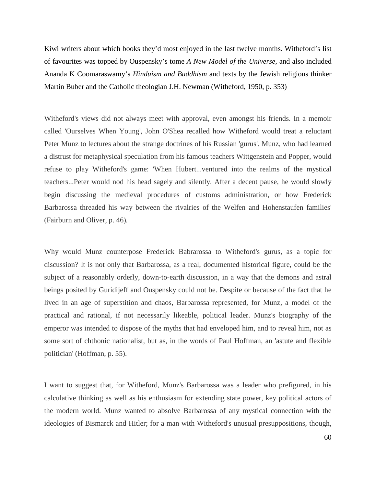Kiwi writers about which books they'd most enjoyed in the last twelve months. Witheford's list of favourites was topped by Ouspensky's tome *A New Model of the Universe,* and also included Ananda K Coomaraswamy's *Hinduism and Buddhism* and texts by the Jewish religious thinker Martin Buber and the Catholic theologian J.H. Newman (Witheford, 1950, p. 353)

Witheford's views did not always meet with approval, even amongst his friends. In a memoir called 'Ourselves When Young', John O'Shea recalled how Witheford would treat a reluctant Peter Munz to lectures about the strange doctrines of his Russian 'gurus'. Munz, who had learned a distrust for metaphysical speculation from his famous teachers Wittgenstein and Popper, would refuse to play Witheford's game: 'When Hubert...ventured into the realms of the mystical teachers...Peter would nod his head sagely and silently. After a decent pause, he would slowly begin discussing the medieval procedures of customs administration, or how Frederick Barbarossa threaded his way between the rivalries of the Welfen and Hohenstaufen families' (Fairburn and Oliver, p. 46)*.*

Why would Munz counterpose Frederick Babrarossa to Witheford's gurus, as a topic for discussion? It is not only that Barbarossa, as a real, documented historical figure, could be the subject of a reasonably orderly, down-to-earth discussion, in a way that the demons and astral beings posited by Guridijeff and Ouspensky could not be. Despite or because of the fact that he lived in an age of superstition and chaos, Barbarossa represented, for Munz, a model of the practical and rational, if not necessarily likeable, political leader. Munz's biography of the emperor was intended to dispose of the myths that had enveloped him, and to reveal him, not as some sort of chthonic nationalist, but as, in the words of Paul Hoffman, an 'astute and flexible politician' (Hoffman, p. 55).

I want to suggest that, for Witheford, Munz's Barbarossa was a leader who prefigured, in his calculative thinking as well as his enthusiasm for extending state power, key political actors of the modern world. Munz wanted to absolve Barbarossa of any mystical connection with the ideologies of Bismarck and Hitler; for a man with Witheford's unusual presuppositions, though,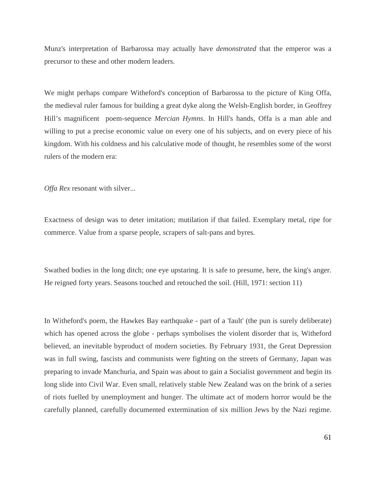Munz's interpretation of Barbarossa may actually have *demonstrated* that the emperor was a precursor to these and other modern leaders.

We might perhaps compare Witheford's conception of Barbarossa to the picture of King Offa, the medieval ruler famous for building a great dyke along the Welsh-English border, in Geoffrey Hill's magnificent [p](http://www.newstatesman.com/books/2009/07/mercian-hymns-book-offa-life)oem-sequence *Mercian Hymns*. In Hill's hands, Offa is a man able and willing to put a precise economic value on every one of his subjects, and on every piece of his kingdom. With his coldness and his calculative mode of thought, he resembles some of the worst rulers of the modern era:

*Offa Rex* resonant with silver...

Exactness of design was to deter imitation; mutilation if that failed. Exemplary metal, ripe for commerce. Value from a sparse people, scrapers of salt-pans and byres.

Swathed bodies in the long ditch; one eye upstaring. It is safe to presume, here, the king's anger. He reigned forty years. Seasons touched and retouched the soil. (Hill, 1971: section 11)

In Witheford's poem, the Hawkes Bay earthquake - part of a 'fault' (the pun is surely deliberate) which has opened across the globe - perhaps symbolises the violent disorder that is, Witheford believed, an inevitable byproduct of modern societies. By February 1931, the Great Depression was in full swing, fascists and communists were fighting on the streets of Germany, Japan was preparing to invade Manchuria, and Spain was about to gain a Socialist government and begin its long slide into Civil War. Even small, relatively stable New Zealand was on the brink of a series of riots fuelled by unemployment and hunger. The ultimate act of modern horror would be the carefully planned, carefully documented extermination of six million Jews by the Nazi regime.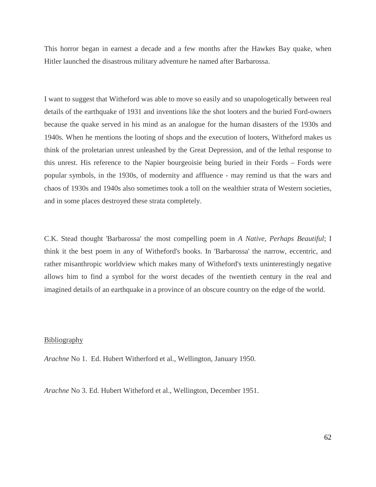This horror began in earnest a decade and a few months after the Hawkes Bay quake, when Hitler launched the disastrous military adventure he named after Barbarossa.

I want to suggest that Witheford was able to move so easily and so unapologetically between real details of the earthquake of 1931 and inventions like the shot looters and the buried Ford-owners because the quake served in his mind as an analogue for the human disasters of the 1930s and 1940s. When he mentions the looting of shops and the execution of looters, Witheford makes us think of the proletarian unrest unleashed by the Great Depression, and of the lethal response to this unrest. His reference to the Napier bourgeoisie being buried in their Fords – Fords were popular symbols, in the 1930s, of modernity and affluence - may remind us that the wars and chaos of 1930s and 1940s also sometimes took a toll on the wealthier strata of Western societies, and in some places destroyed these strata completely.

C.K. Stead thought 'Barbarossa' the most compelling poem in *A Native, Perhaps Beautiful*; I think it the best poem in any of Witheford's books. In 'Barbarossa' the narrow, eccentric, and rather misanthropic worldview which makes many of Witheford's texts uninterestingly negative allows him to find a symbol for the worst decades of the twentieth century in the real and imagined details of an earthquake in a province of an obscure country on the edge of the world.

## Bibliography

*Arachne* No 1. Ed. Hubert Witherford et al., Wellington, January 1950.

*Arachne* No 3. Ed. Hubert Witheford et al., Wellington, December 1951.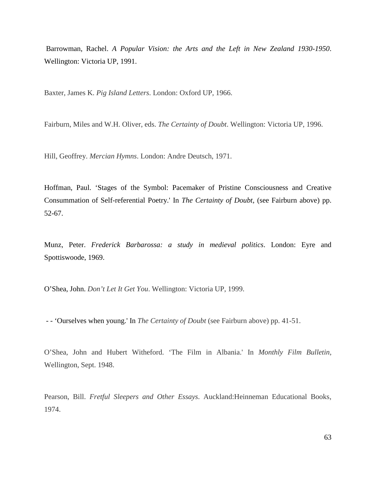Barrowman, Rachel. *A Popular Vision: the Arts and the Left in New Zealand 1930-1950*. Wellington: Victoria UP, 1991.

Baxter, James K. *Pig Island Letters*. London: Oxford UP, 1966.

Fairburn, Miles and W.H. Oliver, eds. *The Certainty of Doubt*. Wellington: Victoria UP, 1996.

Hill, Geoffrey. *Mercian Hymns*. London: Andre Deutsch, 1971.

Hoffman, Paul. 'Stages of the Symbol: Pacemaker of Pristine Consciousness and Creative Consummation of Self-referential Poetry.' In *The Certainty of Doubt*, (see Fairburn above) pp. 52-67.

Munz, Peter. *Frederick Barbarossa: a study in medieval politics*. London: Eyre and Spottiswoode, 1969.

O'Shea, John. *Don't Let It Get You*. Wellington: Victoria UP, 1999.

- - 'Ourselves when young.' In *The Certainty of Doubt* (see Fairburn above) pp. 41-51.

O'Shea, John and Hubert Witheford. 'The Film in Albania.' In *Monthly Film Bulletin*, Wellington, Sept. 1948.

Pearson, Bill. *Fretful Sleepers and Other Essays*. Auckland:Heinneman Educational Books, 1974.